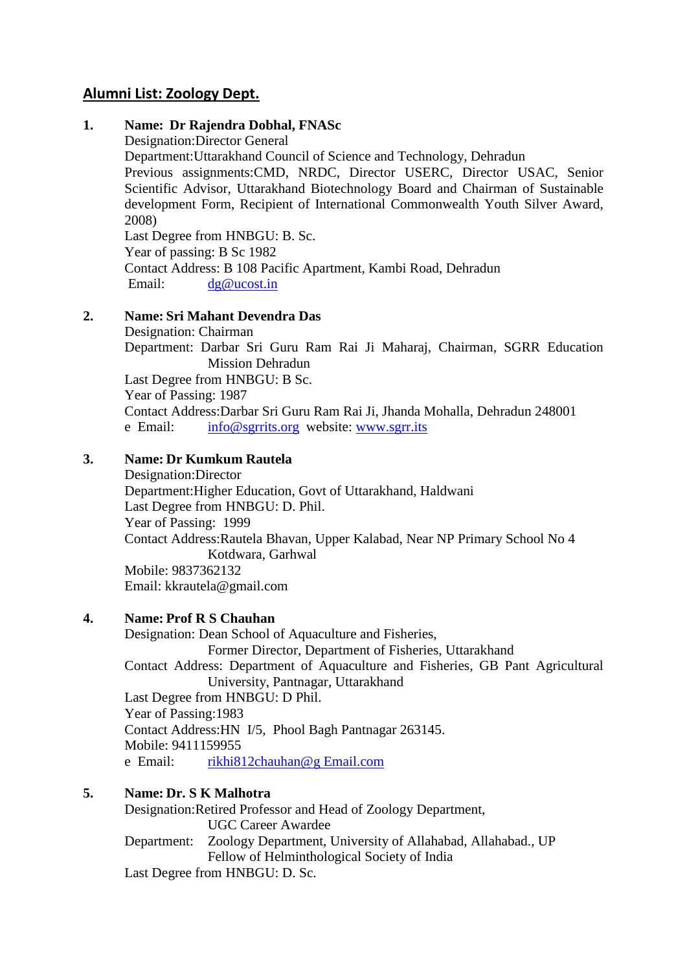# **Alumni List: Zoology Dept.**

### **1. Name: Dr Rajendra Dobhal, FNASc**

Designation:Director General

Department:Uttarakhand Council of Science and Technology, Dehradun

Previous assignments:CMD, NRDC, Director USERC, Director USAC, Senior Scientific Advisor, Uttarakhand Biotechnology Board and Chairman of Sustainable development Form, Recipient of International Commonwealth Youth Silver Award, 2008)

Last Degree from HNBGU: B. Sc. Year of passing: B Sc 1982 Contact Address: B 108 Pacific Apartment, Kambi Road, Dehradun Email: [dg@ucost.in](mailto:dg@ucost.in)

### **2. Name: Sri Mahant Devendra Das**

Designation: Chairman Department: Darbar Sri Guru Ram Rai Ji Maharaj, Chairman, SGRR Education Mission Dehradun Last Degree from HNBGU: B Sc. Year of Passing: 1987 Contact Address:Darbar Sri Guru Ram Rai Ji, Jhanda Mohalla, Dehradun 248001 e Email: [info@sgrrits.org](mailto:info@sgrrits.org) website: [www.sgrr.its](http://www.sgrr.its/)

# **3. Name: Dr Kumkum Rautela**

Designation:Director Department:Higher Education, Govt of Uttarakhand, Haldwani Last Degree from HNBGU: D. Phil. Year of Passing: 1999 Contact Address:Rautela Bhavan, Upper Kalabad, Near NP Primary School No 4 Kotdwara, Garhwal Mobile: 9837362132 Email: kkrautela@gmail.com

### **4. Name: Prof R S Chauhan**

Designation: Dean School of Aquaculture and Fisheries, Former Director, Department of Fisheries, Uttarakhand Contact Address: Department of Aquaculture and Fisheries, GB Pant Agricultural University, Pantnagar, Uttarakhand Last Degree from HNBGU: D Phil. Year of Passing:1983 Contact Address:HN I/5, Phool Bagh Pantnagar 263145. Mobile: 9411159955 e Email: [rikhi812chauhan@g Email.com](mailto:rikhi812chauhan@gmail.com)

### **5. Name: Dr. S K Malhotra**

Designation:Retired Professor and Head of Zoology Department, UGC Career Awardee Department: Zoology Department, University of Allahabad, Allahabad., UP Fellow of Helminthological Society of India

Last Degree from HNBGU: D. Sc.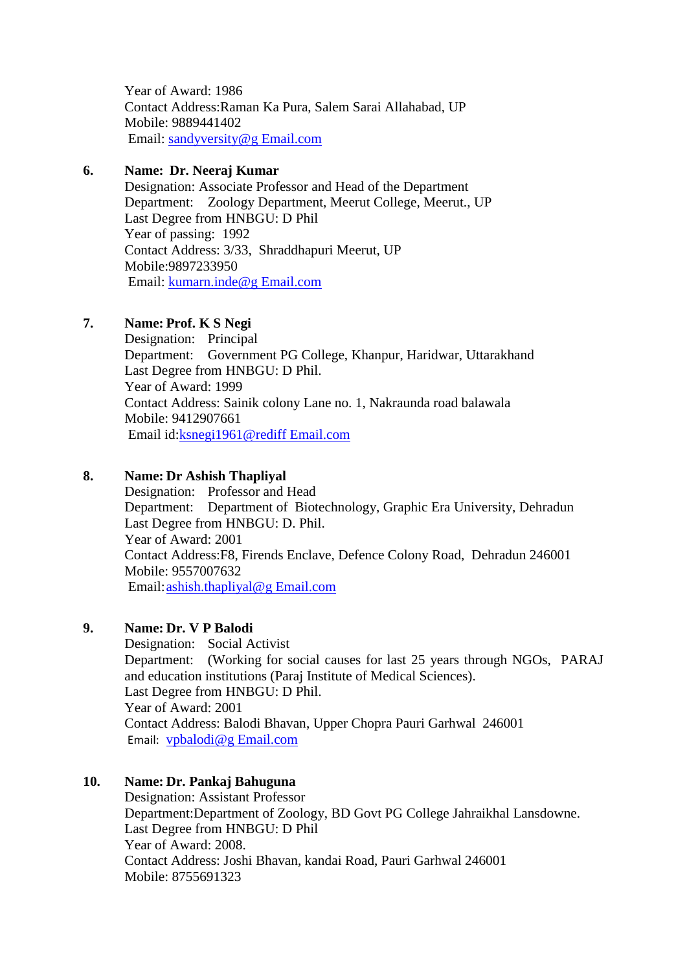Year of Award: 1986 Contact Address:Raman Ka Pura, Salem Sarai Allahabad, UP Mobile: 9889441402 Email: [sandyversity@g Email.com](mailto:sandyversity@gmail.com)

### **6. Name: Dr. Neeraj Kumar**

Designation: Associate Professor and Head of the Department Department: Zoology Department, Meerut College, Meerut., UP Last Degree from HNBGU: D Phil Year of passing: 1992 Contact Address: 3/33, Shraddhapuri Meerut, UP Mobile:9897233950 Email: [kumarn.inde@g Email.com](mailto:kumarn.inde@gmail.com)

# **7. Name: Prof. K S Negi**

Designation: Principal Department: Government PG College, Khanpur, Haridwar, Uttarakhand Last Degree from HNBGU: D Phil. Year of Award: 1999 Contact Address: Sainik colony Lane no. 1, Nakraunda road balawala Mobile: 9412907661 Email id[:ksnegi1961@rediff Email.com](mailto:ksnegi1961@rediffmail.com)

### **8. Name: Dr Ashish Thapliyal**

Designation: Professor and Head Department: Department of Biotechnology, Graphic Era University, Dehradun Last Degree from HNBGU: D. Phil. Year of Award: 2001 Contact Address:F8, Firends Enclave, Defence Colony Road, Dehradun 246001 Mobile: 9557007632 Email[:ashish.thapliyal@g Email.com](mailto:ashish.thapliyal@gmail.com)

## **9. Name: Dr. V P Balodi**

Designation: Social Activist Department: (Working for social causes for last 25 years through NGOs, PARAJ and education institutions (Paraj Institute of Medical Sciences). Last Degree from HNBGU: D Phil. Year of Award: 2001 Contact Address: Balodi Bhavan, Upper Chopra Pauri Garhwal 246001 Email: [vpbalodi@g Email.com](mailto:vpbalodi@gmail.com)

# **10. Name: Dr. Pankaj Bahuguna**

Designation: Assistant Professor Department:Department of Zoology, BD Govt PG College Jahraikhal Lansdowne. Last Degree from HNBGU: D Phil Year of Award: 2008. Contact Address: Joshi Bhavan, kandai Road, Pauri Garhwal 246001 Mobile: 8755691323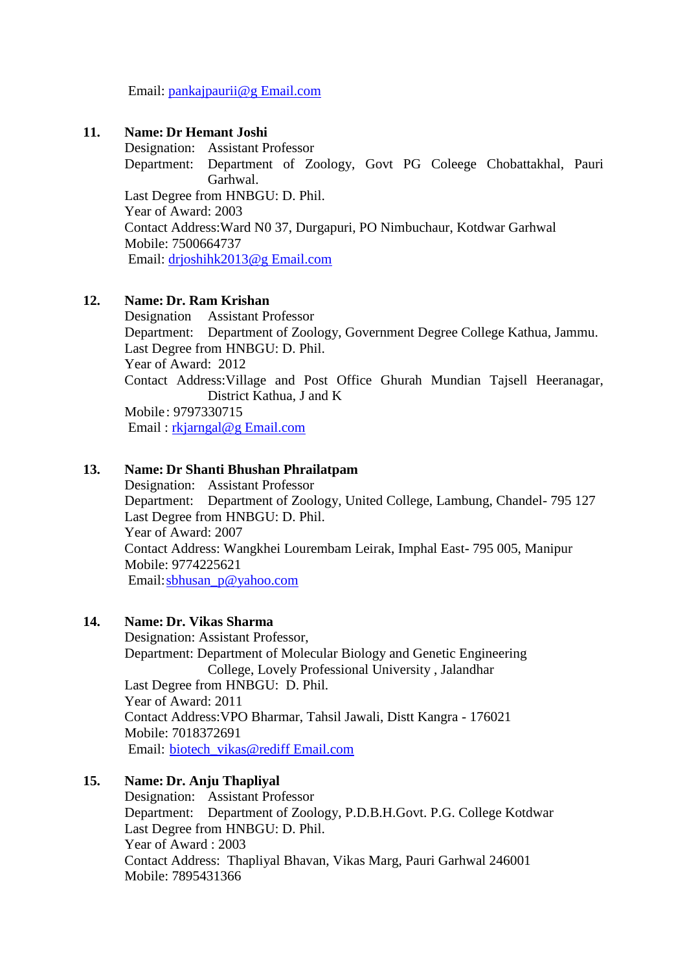Email: [pankajpaurii@g Email.com](mailto:pankajpaurii@gmail.com)

#### **11. Name: Dr Hemant Joshi**

Designation: Assistant Professor Department: Department of Zoology, Govt PG Coleege Chobattakhal, Pauri Garhwal. Last Degree from HNBGU: D. Phil. Year of Award: 2003 Contact Address:Ward N0 37, Durgapuri, PO Nimbuchaur, Kotdwar Garhwal Mobile: 7500664737 Email: [drjoshihk2013@g Email.com](mailto:drjoshihk2013@gmail.com) 

#### **12. Name: Dr. Ram Krishan**

Designation Assistant Professor Department: Department of Zoology, Government Degree College Kathua, Jammu. Last Degree from HNBGU: D. Phil. Year of Award: 2012 Contact Address:Village and Post Office Ghurah Mundian Tajsell Heeranagar, District Kathua, J and K Mobile: 9797330715 Email : [rkjarngal@g Email.com](mailto:rkjarngal@gmail.com)

#### **13. Name: Dr Shanti Bhushan Phrailatpam**

Designation: Assistant Professor Department: Department of Zoology, United College, Lambung, Chandel- 795 127 Last Degree from HNBGU: D. Phil. Year of Award: 2007 Contact Address: Wangkhei Lourembam Leirak, Imphal East- 795 005, Manipur Mobile: 9774225621 Email: sbhusan\_p@yahoo.com

#### **14. Name: Dr. Vikas Sharma**

Designation: Assistant Professor, Department: Department of Molecular Biology and Genetic Engineering College, Lovely Professional University , Jalandhar Last Degree from HNBGU: D. Phil. Year of Award: 2011 Contact Address:VPO Bharmar, Tahsil Jawali, Distt Kangra - 176021 Mobile: 7018372691 Email: [biotech\\_vikas@rediff](mailto:biotech_vikas@rediffmail.com) Email.com

#### **15. Name: Dr. Anju Thapliyal**

Designation: Assistant Professor Department: Department of Zoology, P.D.B.H.Govt. P.G. College Kotdwar Last Degree from HNBGU: D. Phil. Year of Award : 2003 Contact Address: Thapliyal Bhavan, Vikas Marg, Pauri Garhwal 246001 Mobile: 7895431366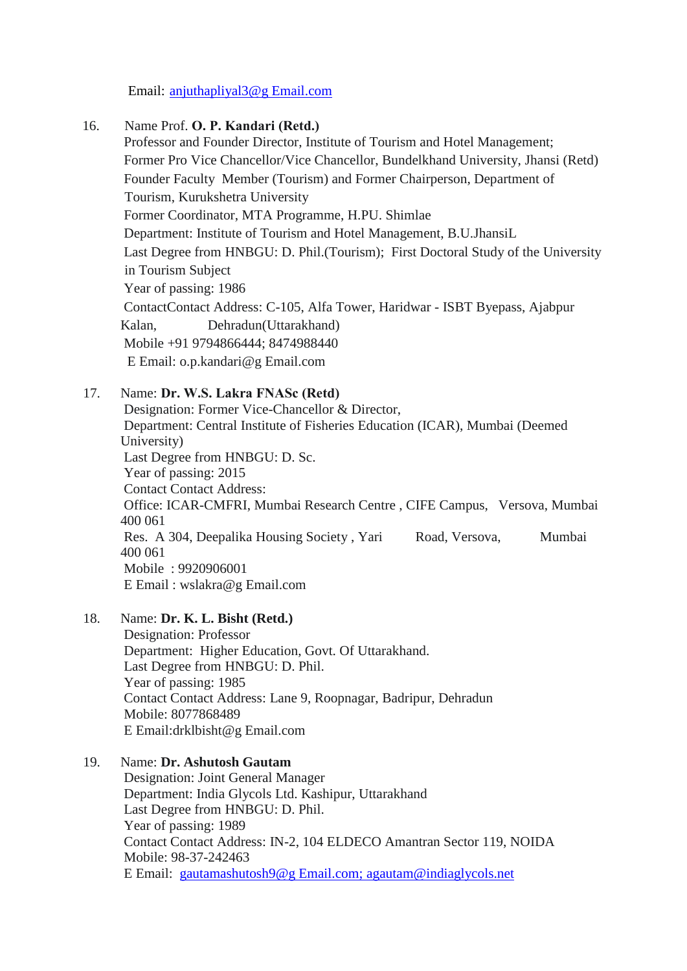Email: [anjuthapliyal3@g Email.com](mailto:anjuthapliyal3@gmail.com)

### 16. Name Prof. **O. P. Kandari (Retd.)**

Professor and Founder Director, Institute of Tourism and Hotel Management; Former Pro Vice Chancellor/Vice Chancellor, Bundelkhand University, Jhansi (Retd) Founder Faculty Member (Tourism) and Former Chairperson, Department of Tourism, Kurukshetra University Former Coordinator, MTA Programme, H.PU. Shimlae Department: Institute of Tourism and Hotel Management, B.U.JhansiL Last Degree from HNBGU: D. Phil.(Tourism); First Doctoral Study of the University in Tourism Subject Year of passing: 1986 ContactContact Address: C-105, Alfa Tower, Haridwar - ISBT Byepass, Ajabpur Kalan, Dehradun(Uttarakhand) Mobile +91 9794866444; 8474988440 E Email: [o.p.kandari@g Email.com](mailto:o.p.kandari@gmail.com)

### 17. Name: **Dr. W.S. Lakra FNASc (Retd)**

Designation: Former Vice-Chancellor & Director, Department: Central Institute of Fisheries Education (ICAR), Mumbai (Deemed University) Last Degree from HNBGU: D. Sc. Year of passing: 2015 Contact Contact Address: Office: ICAR-CMFRI, Mumbai Research Centre , CIFE Campus, Versova, Mumbai 400 061 Res. A 304, Deepalika Housing Society , Yari Road, Versova, Mumbai 400 061 Mobile : 9920906001 E Email : [wslakra@g Email.com](mailto:wslakra@gmail.com)

#### 18. Name: **Dr. K. L. Bisht (Retd.)**

Designation: Professor Department: Higher Education, Govt. Of Uttarakhand. Last Degree from HNBGU: D. Phil. Year of passing: 1985 Contact Contact Address: Lane 9, Roopnagar, Badripur, Dehradun Mobile: 8077868489 E Email:drklbisht@g Email.com

19. Name: **Dr. Ashutosh Gautam** Designation: Joint General Manager Department: India Glycols Ltd. Kashipur, Uttarakhand Last Degree from HNBGU: D. Phil. Year of passing: 1989 Contact Contact Address: IN-2, 104 ELDECO Amantran Sector 119, NOIDA Mobile: 98-37-242463 E Email: [gautamashutosh9@g Email.com;](mailto:gautamashutosh9@gmail.com) [agautam@indiaglycols.net](mailto:agautam@indiaglycols.net)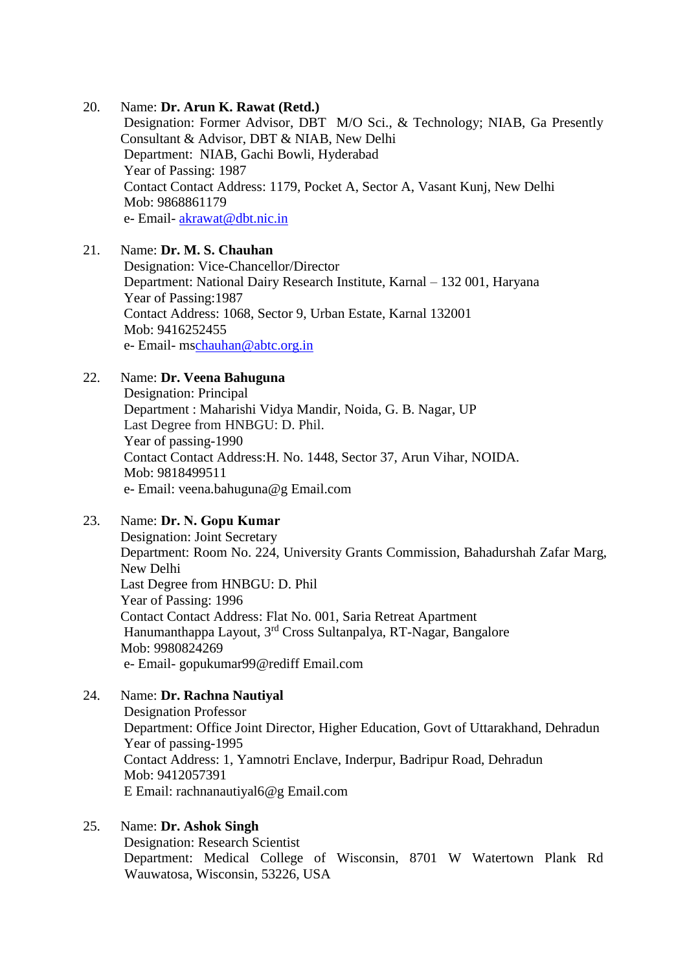#### 20. Name: **Dr. Arun K. Rawat (Retd.)**

Designation: Former Advisor, DBT M/O Sci., & Technology; NIAB, Ga Presently Consultant & Advisor, DBT & NIAB, New Delhi Department: NIAB, Gachi Bowli, Hyderabad Year of Passing: 1987 Contact Contact Address: 1179, Pocket A, Sector A, Vasant Kunj, New Delhi Mob: 9868861179 e- Email- [akrawat@dbt.nic.in](mailto:akrawat@dbt.nic.in)

### 21. Name: **Dr. M. S. Chauhan**

Designation: Vice-Chancellor/Director Department: National Dairy Research Institute, Karnal – 132 001, Haryana Year of Passing:1987 Contact Address: 1068, Sector 9, Urban Estate, Karnal 132001 Mob: 9416252455 e- Email- m[schauhan@abtc.org.in](mailto:chauhanabtc@gmail.com)

### 22. Name: **Dr. Veena Bahuguna**

Designation: Principal Department : Maharishi Vidya Mandir, Noida, G. B. Nagar, UP Last Degree from HNBGU: D. Phil. Year of passing-1990 Contact Contact Address:H. No. 1448, Sector 37, Arun Vihar, NOIDA. Mob: 9818499511 e- Email: veena.bahuguna@g Email.com

#### 23. Name: **Dr. N. Gopu Kumar**

Designation: Joint Secretary Department: Room No. 224, University Grants Commission, Bahadurshah Zafar Marg, New Delhi Last Degree from HNBGU: D. Phil Year of Passing: 1996 Contact Contact Address: Flat No. 001, Saria Retreat Apartment Hanumanthappa Layout, 3rd Cross Sultanpalya, RT-Nagar, Bangalore Mob: 9980824269 e- Email- gopukumar99@rediff Email.com

#### 24. Name: **Dr. Rachna Nautiyal**

Designation Professor Department: Office Joint Director, Higher Education, Govt of Uttarakhand, Dehradun Year of passing-1995 Contact Address: 1, Yamnotri Enclave, Inderpur, Badripur Road, Dehradun Mob: 9412057391 E Email: [rachnanautiyal6@g Email.com](mailto:rachnanautiyal6@gmail.com)

### 25. Name: **Dr. Ashok Singh**

Designation: Research Scientist Department: Medical College of Wisconsin, 8701 W Watertown Plank Rd Wauwatosa, Wisconsin, 53226, USA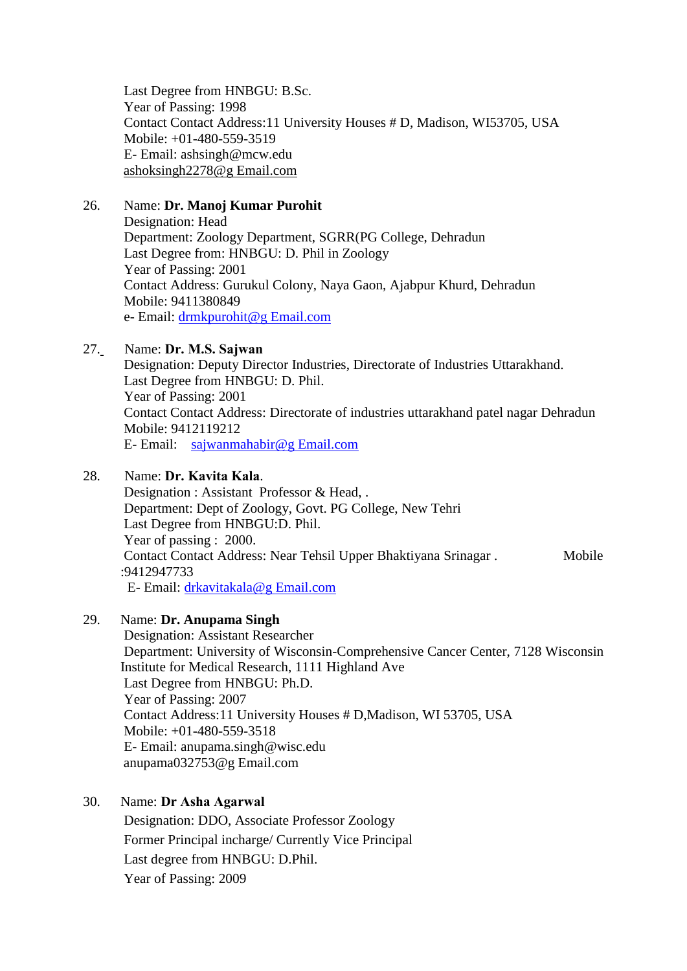Last Degree from HNBGU: B.Sc. Year of Passing: 1998 Contact Contact Address:11 University Houses # D, Madison, WI53705, USA Mobile: +01-480-559-3519 E- Email: ashsingh@mcw.edu [ashoksingh2278@g Email.com](mailto:ashoksingh2278@gmail.com)

### 26. Name: **Dr. Manoj Kumar Purohit**

Designation: Head Department: Zoology Department, SGRR(PG College, Dehradun Last Degree from: HNBGU: D. Phil in Zoology Year of Passing: 2001 Contact Address: Gurukul Colony, Naya Gaon, Ajabpur Khurd, Dehradun Mobile: 9411380849 e- Email: [drmkpurohit@g Email.com](mailto:drmkpurohit@gmail.com)

# 27. Name: **Dr. M.S. Sajwan**

Designation: Deputy Director Industries, Directorate of Industries Uttarakhand. Last Degree from HNBGU: D. Phil. Year of Passing: 2001 Contact Contact Address: Directorate of industries uttarakhand patel nagar Dehradun Mobile: 9412119212 E- Email: [sajwanmahabir@g Email.com](mailto:sajwanmahabir@gmail.com)

#### 28. Name: **Dr. Kavita Kala**.

Designation : Assistant Professor & Head, . Department: Dept of Zoology, Govt. PG College, New Tehri Last Degree from HNBGU:D. Phil. Year of passing : 2000. Contact Contact Address: Near Tehsil Upper Bhaktiyana Srinagar . Mobile :9412947733 E- Email: [drkavitakala@g Email.com](mailto:drkavitakala@gmail.com)

#### 29. Name: **Dr. Anupama Singh**

Designation: Assistant Researcher Department: University of Wisconsin-Comprehensive Cancer Center, 7128 Wisconsin Institute for Medical Research, 1111 Highland Ave Last Degree from HNBGU: Ph.D. Year of Passing: 2007 Contact Address:11 University Houses # D,Madison, WI 53705, USA Mobile: +01-480-559-3518 E- Email: anupama.singh@wisc.edu [anupama032753@g Email.com](mailto:anupama032753@gmail.com)

#### 30. Name: **Dr Asha Agarwal**

Designation: DDO, Associate Professor Zoology Former Principal incharge/ Currently Vice Principal Last degree from HNBGU: D.Phil. Year of Passing: 2009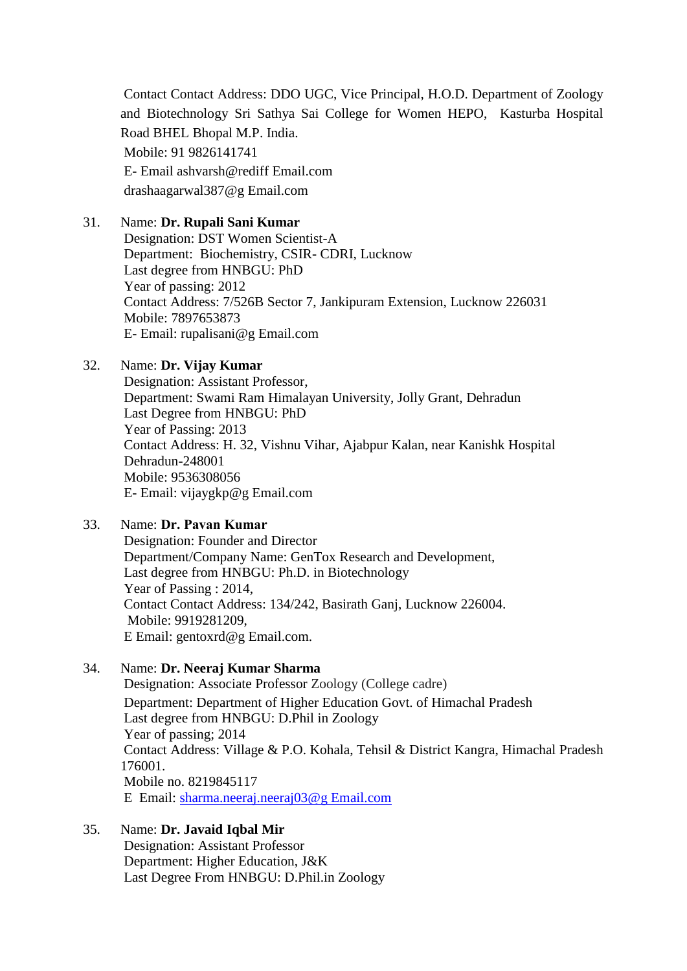Contact Contact Address: DDO UGC, Vice Principal, H.O.D. Department of Zoology and Biotechnology Sri Sathya Sai College for Women HEPO, Kasturba Hospital Road BHEL Bhopal M.P. India. Mobile: 91 9826141741 E- Email ashvarsh@rediff Email.com drashaagarwal387@g Email.com

### 31. Name: **Dr. Rupali Sani Kumar**

Designation: DST Women Scientist-A Department: Biochemistry, CSIR- CDRI, Lucknow Last degree from HNBGU: PhD Year of passing: 2012 Contact Address: 7/526B Sector 7, Jankipuram Extension, Lucknow 226031 Mobile: 7897653873 E- Email: rupalisani@g Email.com

### 32. Name: **Dr. Vijay Kumar**

Designation: Assistant Professor, Department: Swami Ram Himalayan University, Jolly Grant, Dehradun Last Degree from HNBGU: PhD Year of Passing: 2013 Contact Address: H. 32, Vishnu Vihar, Ajabpur Kalan, near Kanishk Hospital Dehradun-248001 Mobile: 9536308056 E- Email: vijaygkp@g Email.com

### 33. Name: **Dr. Pavan Kumar**

Designation: Founder and Director Department/Company Name: GenTox Research and Development, Last degree from HNBGU: Ph.D. in Biotechnology Year of Passing : 2014, Contact Contact Address: 134/242, Basirath Ganj, Lucknow 226004. Mobile: 9919281209, E Email: gentoxrd@g Email.com.

### 34. Name: **Dr. Neeraj Kumar Sharma**

Designation: Associate Professor Zoology (College cadre) Department: Department of Higher Education Govt. of Himachal Pradesh Last degree from HNBGU: D.Phil in Zoology Year of passing; 2014 Contact Address: Village & P.O. Kohala, Tehsil & District Kangra, Himachal Pradesh 176001. Mobile no. 8219845117 E Email: [sharma.neeraj.neeraj03@g Email.com](mailto:sharma.neeraj.neeraj03@gmail.com)

# 35. Name: **Dr. Javaid Iqbal Mir**

Designation: Assistant Professor Department: Higher Education, J&K Last Degree From HNBGU: D.Phil.in Zoology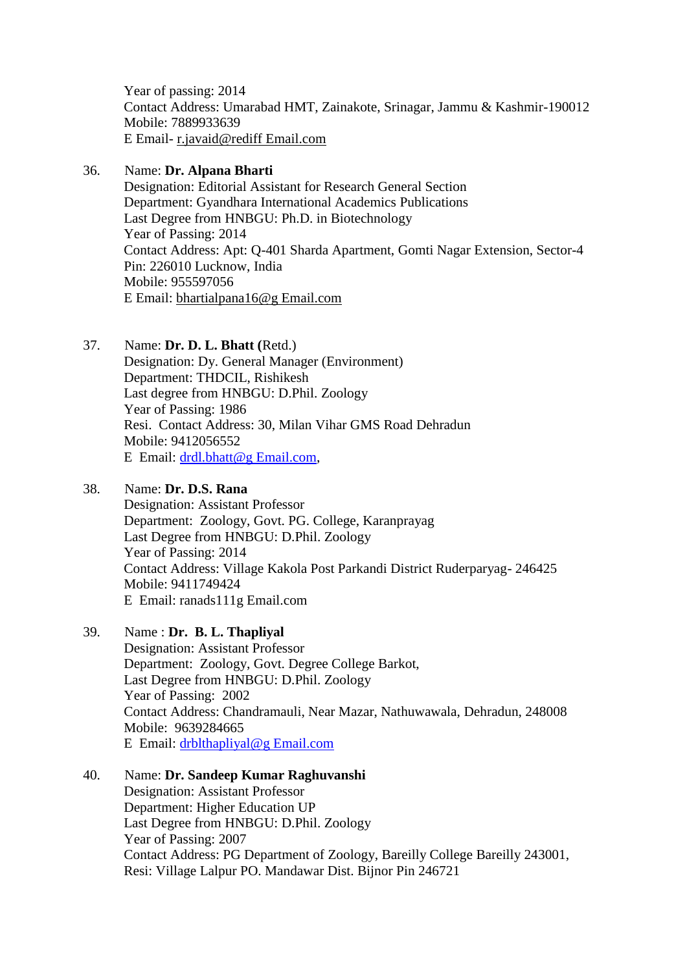Year of passing: 2014 Contact Address: Umarabad HMT, Zainakote, Srinagar, Jammu & Kashmir-190012 Mobile: 7889933639 E Email- [r.javaid@rediff Email.com](mailto:r.javaid@rediffmail.com)

### 36. Name: **Dr. Alpana Bharti**

Designation: Editorial Assistant for Research General Section Department: Gyandhara International Academics Publications Last Degree from HNBGU: Ph.D. in Biotechnology Year of Passing: 2014 Contact Address: Apt: Q-401 Sharda Apartment, Gomti Nagar Extension, Sector-4 Pin: 226010 Lucknow, India Mobile: 955597056 E Email: [bhartialpana16@g Email.com](mailto:bhartialpana16@gmail.com)

37. Name: **Dr. D. L. Bhatt (**Retd.)

Designation: Dy. General Manager (Environment) Department: THDCIL, Rishikesh Last degree from HNBGU: D.Phil. Zoology Year of Passing: 1986 Resi. Contact Address: 30, Milan Vihar GMS Road Dehradun Mobile: 9412056552 E Email: [drdl.bhatt@g Email.com,](mailto:drdl.bhatt@gmail.com)

### 38. Name: **Dr. D.S. Rana**

Designation: Assistant Professor Department: Zoology, Govt. PG. College, Karanprayag Last Degree from HNBGU: D.Phil. Zoology Year of Passing: 2014 Contact Address: Village Kakola Post Parkandi District Ruderparyag- 246425 Mobile: 9411749424 E Email: ranads111g Email.com

### 39. Name : **Dr. B. L. Thapliyal**

Designation: Assistant Professor Department: Zoology, Govt. Degree College Barkot, Last Degree from HNBGU: D.Phil. Zoology Year of Passing: 2002 Contact Address: Chandramauli, Near Mazar, Nathuwawala, Dehradun, 248008 Mobile: 9639284665 E Email: [drblthapliyal@g Email.com](javascript:void(0);)

# 40. Name: **Dr. Sandeep Kumar Raghuvanshi**

Designation: Assistant Professor Department: Higher Education UP Last Degree from HNBGU: D.Phil. Zoology Year of Passing: 2007 Contact Address: PG Department of Zoology, Bareilly College Bareilly 243001, Resi: Village Lalpur PO. Mandawar Dist. Bijnor Pin 246721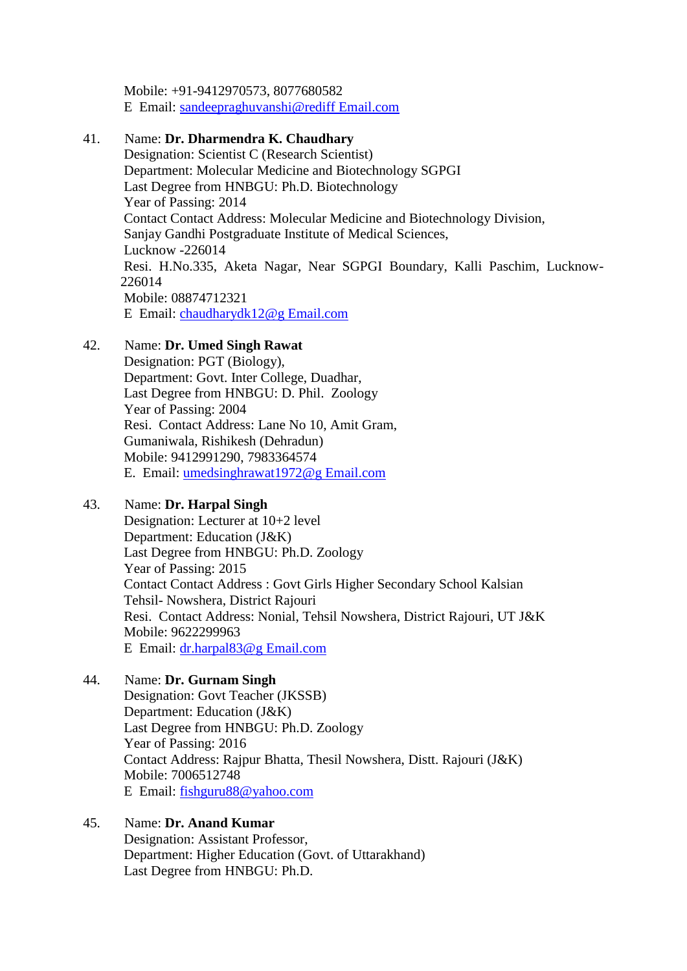Mobile: +91-9412970573, 8077680582 E Email: [sandeepraghuvanshi@rediff Email.com](javascript:void(0);) 

### 41. Name: **Dr. Dharmendra K. Chaudhary**

Designation: Scientist C (Research Scientist) Department: Molecular Medicine and Biotechnology SGPGI Last Degree from HNBGU: Ph.D. Biotechnology Year of Passing: 2014 Contact Contact Address: Molecular Medicine and Biotechnology Division, Sanjay Gandhi Postgraduate Institute of Medical Sciences, Lucknow -226014 Resi. H.No.335, Aketa Nagar, Near SGPGI Boundary, Kalli Paschim, Lucknow-226014 Mobile: 08874712321 E Email: [chaudharydk12@g Email.com](javascript:void(0);) 

# 42. Name: **Dr. Umed Singh Rawat**

Designation: PGT (Biology), Department: Govt. Inter College, Duadhar, Last Degree from HNBGU: D. Phil. Zoology Year of Passing: 2004 Resi. Contact Address: Lane No 10, Amit Gram, Gumaniwala, Rishikesh (Dehradun) Mobile: 9412991290, 7983364574 E. Email: [umedsinghrawat1972@g Email.com](mailto:umedsinghrawat1972@gmail.com) 

### 43. Name: **Dr. Harpal Singh**

Designation: Lecturer at 10+2 level Department: Education (J&K) Last Degree from HNBGU: Ph.D. Zoology Year of Passing: 2015 Contact Contact Address : Govt Girls Higher Secondary School Kalsian Tehsil- Nowshera, District Rajouri Resi. Contact Address: Nonial, Tehsil Nowshera, District Rajouri, UT J&K Mobile: 9622299963 E Email: [dr.harpal83@g Email.com](mailto:dr.harpal83@gmail.com) 

# 44. Name: **Dr. Gurnam Singh**

Designation: Govt Teacher (JKSSB) Department: Education (J&K) Last Degree from HNBGU: Ph.D. Zoology Year of Passing: 2016 Contact Address: Rajpur Bhatta, Thesil Nowshera, Distt. Rajouri (J&K) Mobile: 7006512748 E Email: [fishguru88@yahoo.com](mailto:fishguru88@yahoo.com)

# 45. Name: **Dr. Anand Kumar**

Designation: Assistant Professor, Department: Higher Education (Govt. of Uttarakhand) Last Degree from HNBGU: Ph.D.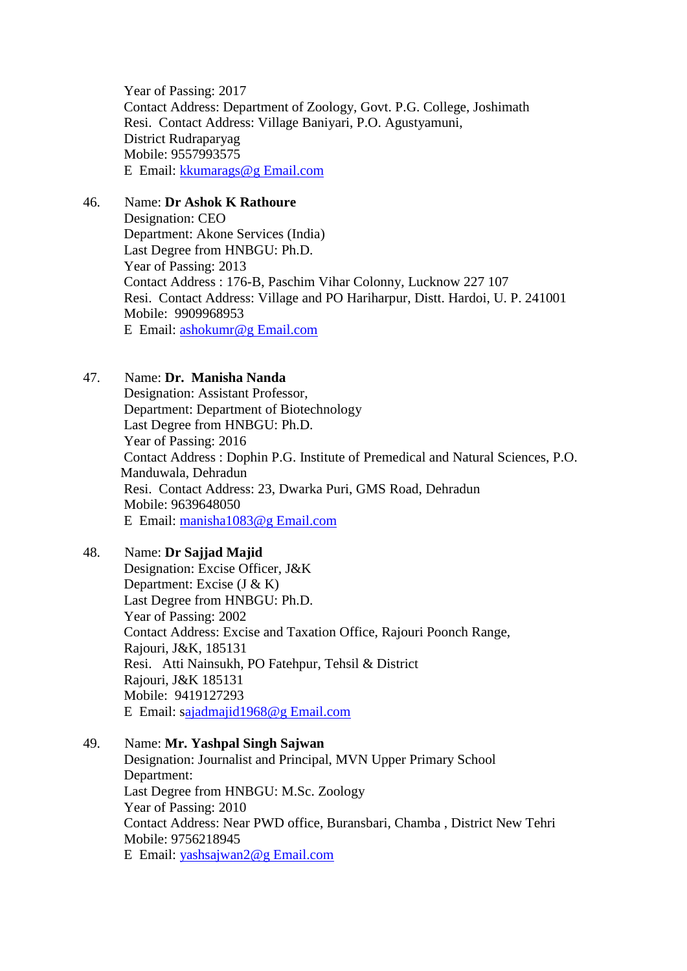Year of Passing: 2017 Contact Address: Department of Zoology, Govt. P.G. College, Joshimath Resi. Contact Address: Village Baniyari, P.O. Agustyamuni, District Rudraparyag Mobile: 9557993575 E Email: [kkumarags@g Email.com](mailto:kkumarags@gmail.com)

#### 46. Name: **Dr Ashok K Rathoure**

Designation: CEO Department: Akone Services (India) Last Degree from HNBGU: Ph.D. Year of Passing: 2013 Contact Address : 176-B, Paschim Vihar Colonny, Lucknow 227 107 Resi. Contact Address: Village and PO Hariharpur, Distt. Hardoi, U. P. 241001 Mobile: 9909968953 E Email: [ashokumr@g Email.com](mailto:ashokumr@gmail.com)

#### 47. Name: **Dr. Manisha Nanda**

Designation: Assistant Professor, Department: Department of Biotechnology Last Degree from HNBGU: Ph.D. Year of Passing: 2016 Contact Address : Dophin P.G. Institute of Premedical and Natural Sciences, P.O. Manduwala, Dehradun Resi. Contact Address: 23, Dwarka Puri, GMS Road, Dehradun Mobile: 9639648050 E Email: [manisha1083@g Email.com](mailto:manisha1083@gmail.com)

### 48. Name: **Dr Sajjad Majid**

Designation: Excise Officer, J&K Department: Excise (J & K) Last Degree from HNBGU: Ph.D. Year of Passing: 2002 Contact Address: Excise and Taxation Office, Rajouri Poonch Range, Rajouri, J&K, 185131 Resi. Atti Nainsukh, PO Fatehpur, Tehsil & District Rajouri, J&K 185131 Mobile: 9419127293 E Email: [sajadmajid1968@g Email.com](mailto:ajadmajid1968@gmail.com)

### 49. Name: **Mr. Yashpal Singh Sajwan** Designation: Journalist and Principal, MVN Upper Primary School Department: Last Degree from HNBGU: M.Sc. Zoology Year of Passing: 2010 Contact Address: Near PWD office, Buransbari, Chamba , District New Tehri Mobile: 9756218945 E Email: [yashsajwan2@g Email.com](mailto:yashsajwan2@gmail.com)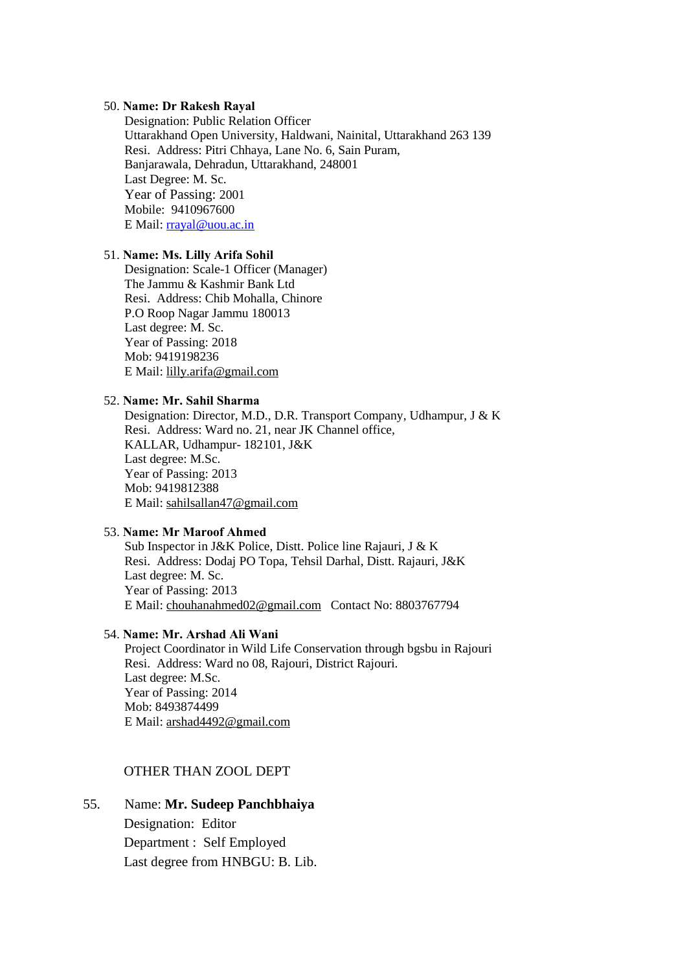#### 50. **Name: Dr Rakesh Rayal**

Designation: Public Relation Officer Uttarakhand Open University, Haldwani, Nainital, Uttarakhand 263 139 Resi. Address: Pitri Chhaya, Lane No. 6, Sain Puram, Banjarawala, Dehradun, Uttarakhand, 248001 Last Degree: M. Sc. Year of Passing: 2001 Mobile: 9410967600 E Mail: [rrayal@uou.ac.in](mailto:rrayal@uou.ac.in)

#### 51. **Name: Ms. Lilly Arifa Sohil**

Designation: Scale-1 Officer (Manager) The Jammu & Kashmir Bank Ltd Resi. Address: Chib Mohalla, Chinore P.O Roop Nagar Jammu 180013 Last degree: M. Sc. Year of Passing: 2018 Mob: 9419198236 E Mail: [lilly.arifa@gmail.com](javascript:void(0);)

### 52. **Name: Mr. Sahil Sharma**

Designation: Director, M.D., D.R. Transport Company, Udhampur, J & K Resi. Address: Ward no. 21, near JK Channel office, KALLAR, Udhampur- 182101, J&K Last degree: M.Sc. Year of Passing: 2013 Mob: 9419812388 E Mail: [sahilsallan47@gmail.com](mailto:sahilsallan47@gmail.com)

#### 53. **Name: Mr Maroof Ahmed**

Sub Inspector in J&K Police, Distt. Police line Rajauri, J & K Resi. Address: Dodaj PO Topa, Tehsil Darhal, Distt. Rajauri, J&K Last degree: M. Sc. Year of Passing: 2013 E Mail: [chouhanahmed02@gmail.com](mailto:chouhanahmed02@gmail.com) Contact No: 8803767794

#### 54. **Name: Mr. Arshad Ali Wani**

Project Coordinator in Wild Life Conservation through bgsbu in Rajouri Resi. Address: Ward no 08, Rajouri, District Rajouri. Last degree: M.Sc. Year of Passing: 2014 Mob: 8493874499 E Mail: [arshad4492@gmail.com](javascript:void(0);) 

#### OTHER THAN ZOOL DEPT

# 55. Name: **Mr. Sudeep Panchbhaiya**

Designation: Editor Department : Self Employed Last degree from HNBGU: B. Lib.